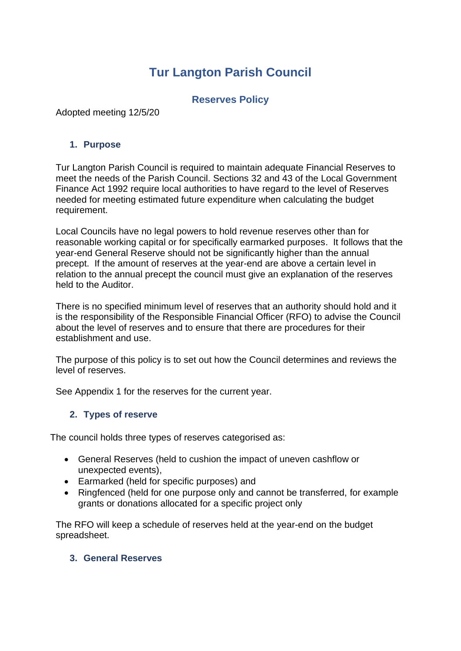# **Tur Langton Parish Council**

#### **Reserves Policy**

Adopted meeting 12/5/20

#### **1. Purpose**

Tur Langton Parish Council is required to maintain adequate Financial Reserves to meet the needs of the Parish Council. Sections 32 and 43 of the Local Government Finance Act 1992 require local authorities to have regard to the level of Reserves needed for meeting estimated future expenditure when calculating the budget requirement.

Local Councils have no legal powers to hold revenue reserves other than for reasonable working capital or for specifically earmarked purposes. It follows that the year-end General Reserve should not be significantly higher than the annual precept. If the amount of reserves at the year-end are above a certain level in relation to the annual precept the council must give an explanation of the reserves held to the Auditor.

There is no specified minimum level of reserves that an authority should hold and it is the responsibility of the Responsible Financial Officer (RFO) to advise the Council about the level of reserves and to ensure that there are procedures for their establishment and use.

The purpose of this policy is to set out how the Council determines and reviews the level of reserves.

See Appendix 1 for the reserves for the current year.

#### **2. Types of reserve**

The council holds three types of reserves categorised as:

- General Reserves (held to cushion the impact of uneven cashflow or unexpected events),
- Earmarked (held for specific purposes) and
- Ringfenced (held for one purpose only and cannot be transferred, for example grants or donations allocated for a specific project only

The RFO will keep a schedule of reserves held at the year-end on the budget spreadsheet.

#### **3. General Reserves**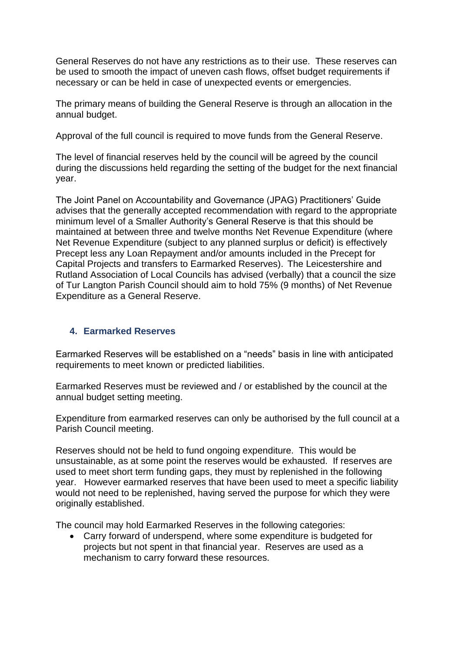General Reserves do not have any restrictions as to their use. These reserves can be used to smooth the impact of uneven cash flows, offset budget requirements if necessary or can be held in case of unexpected events or emergencies.

The primary means of building the General Reserve is through an allocation in the annual budget.

Approval of the full council is required to move funds from the General Reserve.

The level of financial reserves held by the council will be agreed by the council during the discussions held regarding the setting of the budget for the next financial year.

The Joint Panel on Accountability and Governance (JPAG) Practitioners' Guide advises that the generally accepted recommendation with regard to the appropriate minimum level of a Smaller Authority's General Reserve is that this should be maintained at between three and twelve months Net Revenue Expenditure (where Net Revenue Expenditure (subject to any planned surplus or deficit) is effectively Precept less any Loan Repayment and/or amounts included in the Precept for Capital Projects and transfers to Earmarked Reserves). The Leicestershire and Rutland Association of Local Councils has advised (verbally) that a council the size of Tur Langton Parish Council should aim to hold 75% (9 months) of Net Revenue Expenditure as a General Reserve.

#### **4. Earmarked Reserves**

Earmarked Reserves will be established on a "needs" basis in line with anticipated requirements to meet known or predicted liabilities.

Earmarked Reserves must be reviewed and / or established by the council at the annual budget setting meeting.

Expenditure from earmarked reserves can only be authorised by the full council at a Parish Council meeting.

Reserves should not be held to fund ongoing expenditure. This would be unsustainable, as at some point the reserves would be exhausted. If reserves are used to meet short term funding gaps, they must by replenished in the following year. However earmarked reserves that have been used to meet a specific liability would not need to be replenished, having served the purpose for which they were originally established.

The council may hold Earmarked Reserves in the following categories:

• Carry forward of underspend, where some expenditure is budgeted for projects but not spent in that financial year. Reserves are used as a mechanism to carry forward these resources.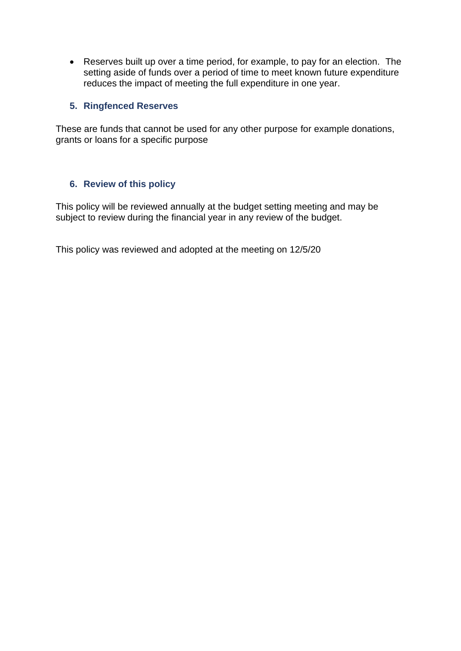• Reserves built up over a time period, for example, to pay for an election. The setting aside of funds over a period of time to meet known future expenditure reduces the impact of meeting the full expenditure in one year.

#### **5. Ringfenced Reserves**

These are funds that cannot be used for any other purpose for example donations, grants or loans for a specific purpose

#### **6. Review of this policy**

This policy will be reviewed annually at the budget setting meeting and may be subject to review during the financial year in any review of the budget.

This policy was reviewed and adopted at the meeting on 12/5/20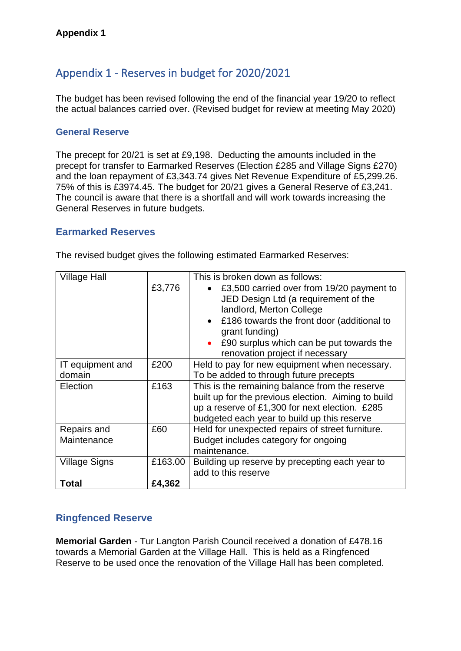## Appendix 1 - Reserves in budget for 2020/2021

The budget has been revised following the end of the financial year 19/20 to reflect the actual balances carried over. (Revised budget for review at meeting May 2020)

#### **General Reserve**

The precept for 20/21 is set at £9,198. Deducting the amounts included in the precept for transfer to Earmarked Reserves (Election £285 and Village Signs £270) and the loan repayment of £3,343.74 gives Net Revenue Expenditure of £5,299.26. 75% of this is £3974.45. The budget for 20/21 gives a General Reserve of £3,241. The council is aware that there is a shortfall and will work towards increasing the General Reserves in future budgets.

#### **Earmarked Reserves**

### **Ringfenced Reserve**

**Memorial Garden** - Tur Langton Parish Council received a donation of £478.16 towards a Memorial Garden at the Village Hall. This is held as a Ringfenced Reserve to be used once the renovation of the Village Hall has been completed.